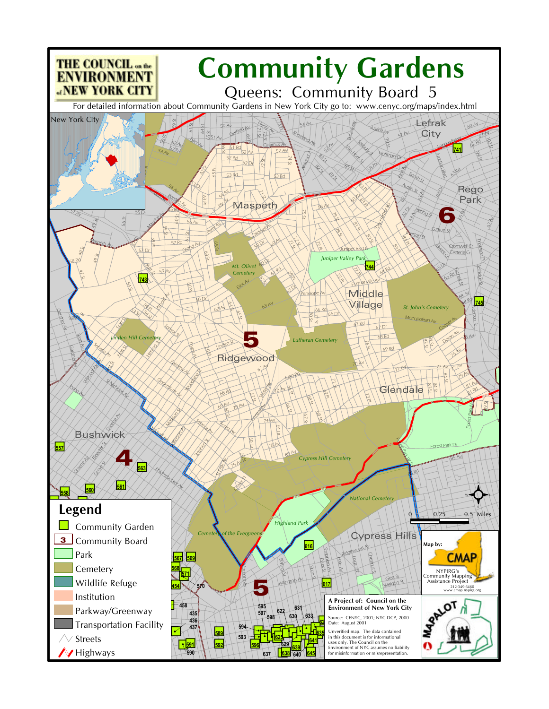